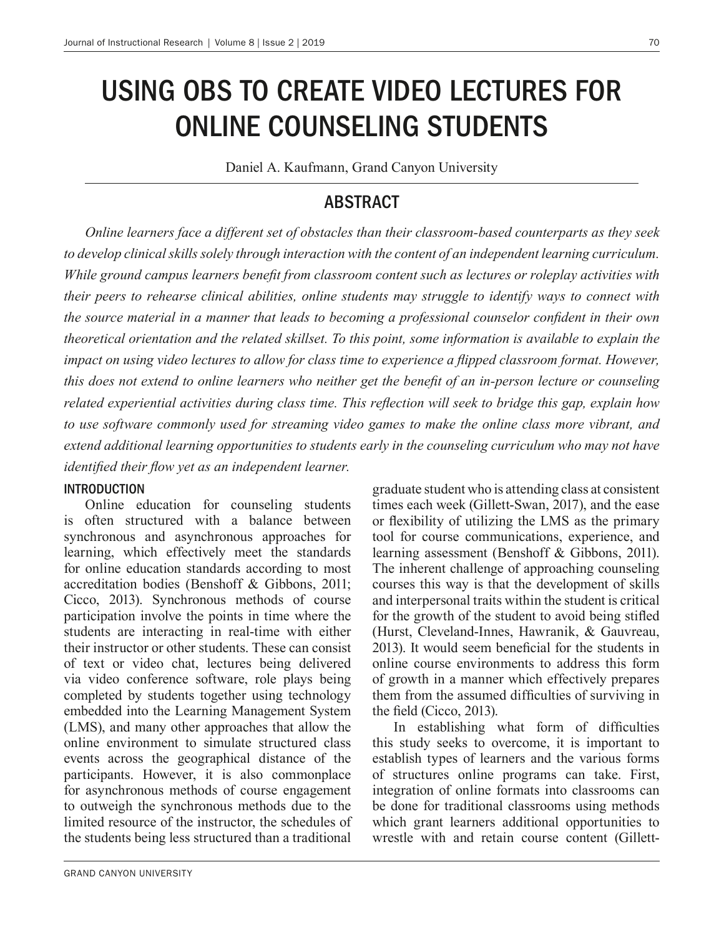# USING OBS TO CREATE VIDEO LECTURES FOR ONLINE COUNSELING STUDENTS

Daniel A. Kaufmann, Grand Canyon University

### ABSTRACT

*Online learners face a different set of obstacles than their classroom-based counterparts as they seek to develop clinical skills solely through interaction with the content of an independent learning curriculum. While ground campus learners benefit from classroom content such as lectures or roleplay activities with their peers to rehearse clinical abilities, online students may struggle to identify ways to connect with the source material in a manner that leads to becoming a professional counselor confident in their own theoretical orientation and the related skillset. To this point, some information is available to explain the impact on using video lectures to allow for class time to experience a flipped classroom format. However, this does not extend to online learners who neither get the benefit of an in-person lecture or counseling related experiential activities during class time. This reflection will seek to bridge this gap, explain how to use software commonly used for streaming video games to make the online class more vibrant, and extend additional learning opportunities to students early in the counseling curriculum who may not have identified their flow yet as an independent learner.*

#### INTRODUCTION

Online education for counseling students is often structured with a balance between synchronous and asynchronous approaches for learning, which effectively meet the standards for online education standards according to most accreditation bodies (Benshoff & Gibbons, 2011; Cicco, 2013). Synchronous methods of course participation involve the points in time where the students are interacting in real-time with either their instructor or other students. These can consist of text or video chat, lectures being delivered via video conference software, role plays being completed by students together using technology embedded into the Learning Management System (LMS), and many other approaches that allow the online environment to simulate structured class events across the geographical distance of the participants. However, it is also commonplace for asynchronous methods of course engagement to outweigh the synchronous methods due to the limited resource of the instructor, the schedules of the students being less structured than a traditional

graduate student who is attending class at consistent times each week (Gillett-Swan, 2017), and the ease or flexibility of utilizing the LMS as the primary tool for course communications, experience, and learning assessment (Benshoff & Gibbons, 2011). The inherent challenge of approaching counseling courses this way is that the development of skills and interpersonal traits within the student is critical for the growth of the student to avoid being stifled (Hurst, Cleveland-Innes, Hawranik, & Gauvreau, 2013). It would seem beneficial for the students in online course environments to address this form of growth in a manner which effectively prepares them from the assumed difficulties of surviving in the field (Cicco, 2013).

In establishing what form of difficulties this study seeks to overcome, it is important to establish types of learners and the various forms of structures online programs can take. First, integration of online formats into classrooms can be done for traditional classrooms using methods which grant learners additional opportunities to wrestle with and retain course content (Gillett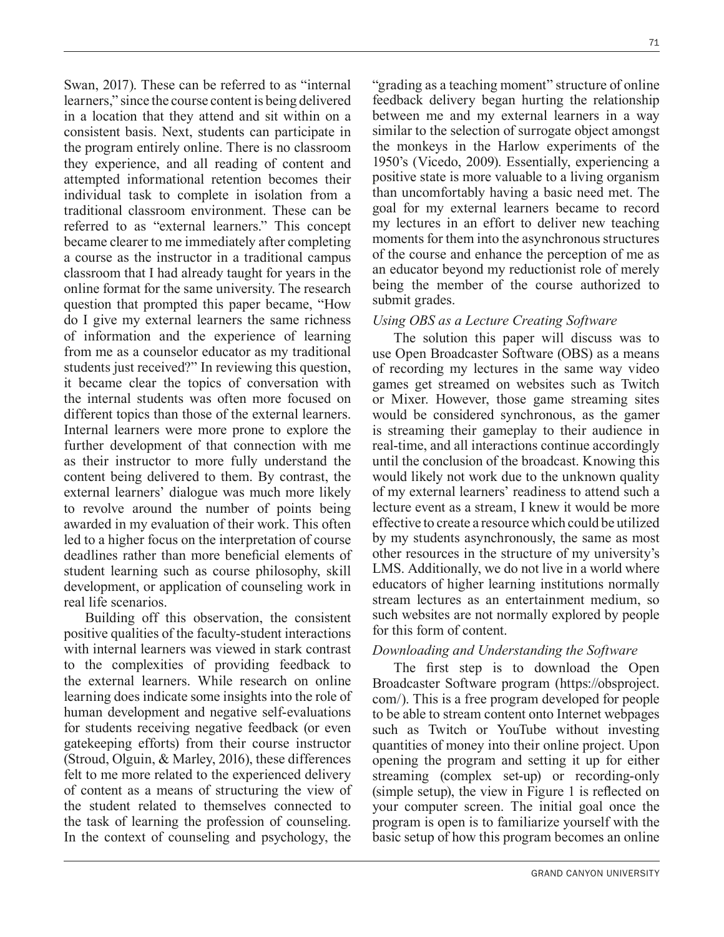Swan, 2017). These can be referred to as "internal learners," since the course content is being delivered in a location that they attend and sit within on a consistent basis. Next, students can participate in the program entirely online. There is no classroom they experience, and all reading of content and attempted informational retention becomes their individual task to complete in isolation from a traditional classroom environment. These can be referred to as "external learners." This concept became clearer to me immediately after completing a course as the instructor in a traditional campus classroom that I had already taught for years in the online format for the same university. The research question that prompted this paper became, "How do I give my external learners the same richness of information and the experience of learning from me as a counselor educator as my traditional students just received?" In reviewing this question, it became clear the topics of conversation with the internal students was often more focused on different topics than those of the external learners. Internal learners were more prone to explore the further development of that connection with me as their instructor to more fully understand the content being delivered to them. By contrast, the external learners' dialogue was much more likely to revolve around the number of points being awarded in my evaluation of their work. This often led to a higher focus on the interpretation of course deadlines rather than more beneficial elements of student learning such as course philosophy, skill development, or application of counseling work in real life scenarios.

Building off this observation, the consistent positive qualities of the faculty-student interactions with internal learners was viewed in stark contrast to the complexities of providing feedback to the external learners. While research on online learning does indicate some insights into the role of human development and negative self-evaluations for students receiving negative feedback (or even gatekeeping efforts) from their course instructor (Stroud, Olguin, & Marley, 2016), these differences felt to me more related to the experienced delivery of content as a means of structuring the view of the student related to themselves connected to the task of learning the profession of counseling. In the context of counseling and psychology, the

"grading as a teaching moment" structure of online feedback delivery began hurting the relationship between me and my external learners in a way similar to the selection of surrogate object amongst the monkeys in the Harlow experiments of the 1950's (Vicedo, 2009). Essentially, experiencing a positive state is more valuable to a living organism than uncomfortably having a basic need met. The goal for my external learners became to record my lectures in an effort to deliver new teaching moments for them into the asynchronous structures of the course and enhance the perception of me as an educator beyond my reductionist role of merely being the member of the course authorized to submit grades.

#### *Using OBS as a Lecture Creating Software*

The solution this paper will discuss was to use Open Broadcaster Software (OBS) as a means of recording my lectures in the same way video games get streamed on websites such as Twitch or Mixer. However, those game streaming sites would be considered synchronous, as the gamer is streaming their gameplay to their audience in real-time, and all interactions continue accordingly until the conclusion of the broadcast. Knowing this would likely not work due to the unknown quality of my external learners' readiness to attend such a lecture event as a stream, I knew it would be more effective to create a resource which could be utilized by my students asynchronously, the same as most other resources in the structure of my university's LMS. Additionally, we do not live in a world where educators of higher learning institutions normally stream lectures as an entertainment medium, so such websites are not normally explored by people for this form of content.

#### *Downloading and Understanding the Software*

The first step is to download the Open Broadcaster Software program (https://obsproject. com/). This is a free program developed for people to be able to stream content onto Internet webpages such as Twitch or YouTube without investing quantities of money into their online project. Upon opening the program and setting it up for either streaming (complex set-up) or recording-only (simple setup), the view in Figure 1 is reflected on your computer screen. The initial goal once the program is open is to familiarize yourself with the basic setup of how this program becomes an online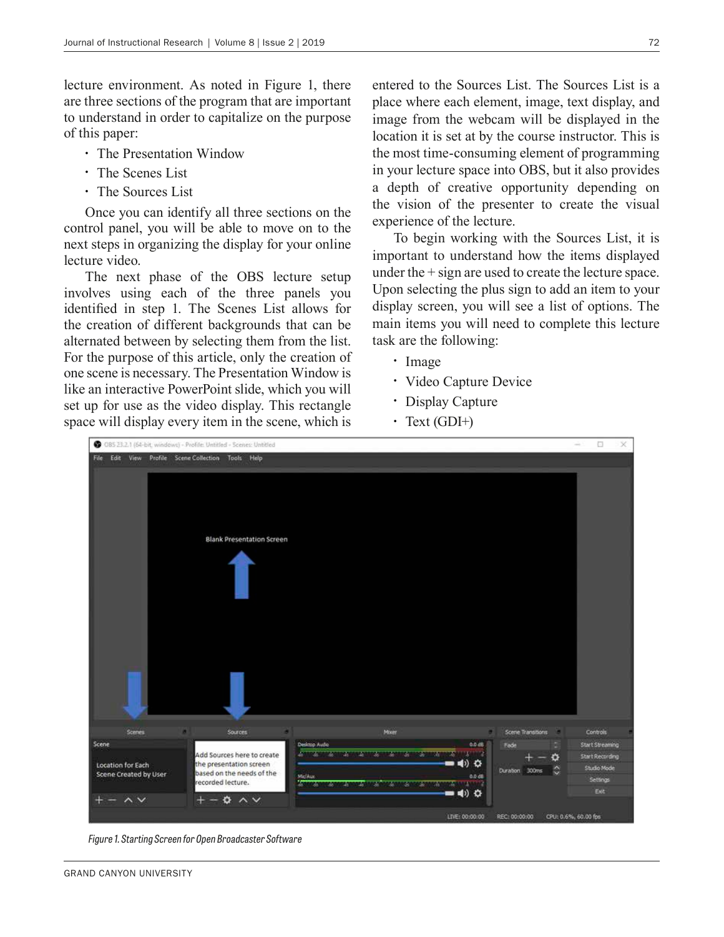lecture environment. As noted in Figure 1, there are three sections of the program that are important to understand in order to capitalize on the purpose of this paper:

- The Presentation Window
- The Scenes List
- The Sources List

Once you can identify all three sections on the control panel, you will be able to move on to the next steps in organizing the display for your online lecture video.

The next phase of the OBS lecture setup involves using each of the three panels you identified in step 1. The Scenes List allows for the creation of different backgrounds that can be alternated between by selecting them from the list. For the purpose of this article, only the creation of one scene is necessary. The Presentation Window is like an interactive PowerPoint slide, which you will set up for use as the video display. This rectangle space will display every item in the scene, which is

entered to the Sources List. The Sources List is a place where each element, image, text display, and image from the webcam will be displayed in the location it is set at by the course instructor. This is the most time-consuming element of programming in your lecture space into OBS, but it also provides a depth of creative opportunity depending on the vision of the presenter to create the visual experience of the lecture.

To begin working with the Sources List, it is important to understand how the items displayed under the + sign are used to create the lecture space. Upon selecting the plus sign to add an item to your display screen, you will see a list of options. The main items you will need to complete this lecture task are the following:

- Image
- Video Capture Device
- Display Capture
- Text  $(GDI+)$



*Figure 1. Starting Screen for Open Broadcaster Software*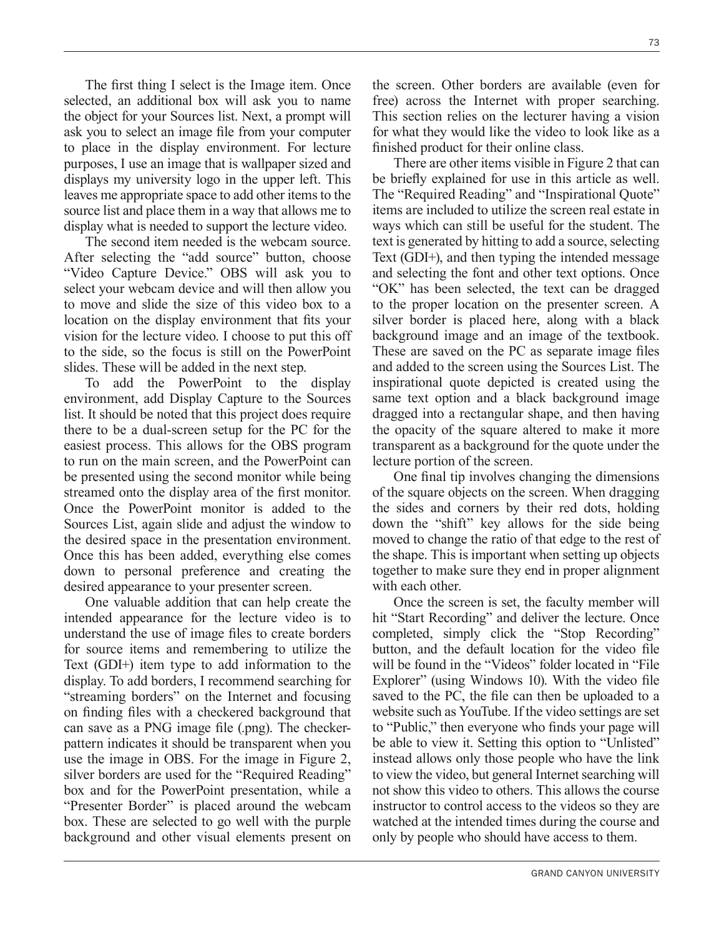The first thing I select is the Image item. Once selected, an additional box will ask you to name the object for your Sources list. Next, a prompt will ask you to select an image file from your computer to place in the display environment. For lecture purposes, I use an image that is wallpaper sized and displays my university logo in the upper left. This leaves me appropriate space to add other items to the source list and place them in a way that allows me to display what is needed to support the lecture video.

The second item needed is the webcam source. After selecting the "add source" button, choose "Video Capture Device." OBS will ask you to select your webcam device and will then allow you to move and slide the size of this video box to a location on the display environment that fits your vision for the lecture video. I choose to put this off to the side, so the focus is still on the PowerPoint slides. These will be added in the next step.

To add the PowerPoint to the display environment, add Display Capture to the Sources list. It should be noted that this project does require there to be a dual-screen setup for the PC for the easiest process. This allows for the OBS program to run on the main screen, and the PowerPoint can be presented using the second monitor while being streamed onto the display area of the first monitor. Once the PowerPoint monitor is added to the Sources List, again slide and adjust the window to the desired space in the presentation environment. Once this has been added, everything else comes down to personal preference and creating the desired appearance to your presenter screen.

One valuable addition that can help create the intended appearance for the lecture video is to understand the use of image files to create borders for source items and remembering to utilize the Text (GDI+) item type to add information to the display. To add borders, I recommend searching for "streaming borders" on the Internet and focusing on finding files with a checkered background that can save as a PNG image file (.png). The checkerpattern indicates it should be transparent when you use the image in OBS. For the image in Figure 2, silver borders are used for the "Required Reading" box and for the PowerPoint presentation, while a "Presenter Border" is placed around the webcam box. These are selected to go well with the purple background and other visual elements present on the screen. Other borders are available (even for free) across the Internet with proper searching. This section relies on the lecturer having a vision for what they would like the video to look like as a finished product for their online class.

There are other items visible in Figure 2 that can be briefly explained for use in this article as well. The "Required Reading" and "Inspirational Quote" items are included to utilize the screen real estate in ways which can still be useful for the student. The text is generated by hitting to add a source, selecting Text (GDI+), and then typing the intended message and selecting the font and other text options. Once "OK" has been selected, the text can be dragged to the proper location on the presenter screen. A silver border is placed here, along with a black background image and an image of the textbook. These are saved on the PC as separate image files and added to the screen using the Sources List. The inspirational quote depicted is created using the same text option and a black background image dragged into a rectangular shape, and then having the opacity of the square altered to make it more transparent as a background for the quote under the lecture portion of the screen.

One final tip involves changing the dimensions of the square objects on the screen. When dragging the sides and corners by their red dots, holding down the "shift" key allows for the side being moved to change the ratio of that edge to the rest of the shape. This is important when setting up objects together to make sure they end in proper alignment with each other.

Once the screen is set, the faculty member will hit "Start Recording" and deliver the lecture. Once completed, simply click the "Stop Recording" button, and the default location for the video file will be found in the "Videos" folder located in "File Explorer" (using Windows 10). With the video file saved to the PC, the file can then be uploaded to a website such as YouTube. If the video settings are set to "Public," then everyone who finds your page will be able to view it. Setting this option to "Unlisted" instead allows only those people who have the link to view the video, but general Internet searching will not show this video to others. This allows the course instructor to control access to the videos so they are watched at the intended times during the course and only by people who should have access to them.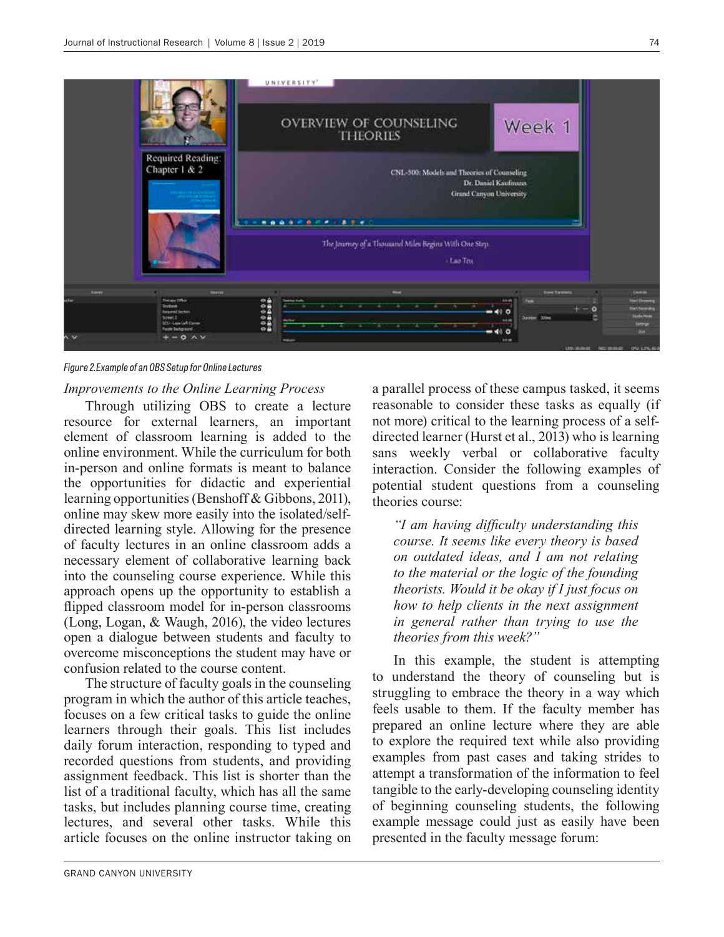

*Figure 2.Example of an OBS Setup for Online Lectures*

#### *Improvements to the Online Learning Process*

Through utilizing OBS to create a lecture resource for external learners, an important element of classroom learning is added to the online environment. While the curriculum for both in-person and online formats is meant to balance the opportunities for didactic and experiential learning opportunities (Benshoff & Gibbons, 2011), online may skew more easily into the isolated/selfdirected learning style. Allowing for the presence of faculty lectures in an online classroom adds a necessary element of collaborative learning back into the counseling course experience. While this approach opens up the opportunity to establish a flipped classroom model for in-person classrooms (Long, Logan, & Waugh, 2016), the video lectures open a dialogue between students and faculty to overcome misconceptions the student may have or confusion related to the course content.

The structure of faculty goals in the counseling program in which the author of this article teaches, focuses on a few critical tasks to guide the online learners through their goals. This list includes daily forum interaction, responding to typed and recorded questions from students, and providing assignment feedback. This list is shorter than the list of a traditional faculty, which has all the same tasks, but includes planning course time, creating lectures, and several other tasks. While this article focuses on the online instructor taking on

a parallel process of these campus tasked, it seems reasonable to consider these tasks as equally (if not more) critical to the learning process of a selfdirected learner (Hurst et al., 2013) who is learning sans weekly verbal or collaborative faculty interaction. Consider the following examples of potential student questions from a counseling theories course:

*"I am having difficulty understanding this course. It seems like every theory is based on outdated ideas, and I am not relating to the material or the logic of the founding theorists. Would it be okay if I just focus on how to help clients in the next assignment in general rather than trying to use the theories from this week?"*

In this example, the student is attempting to understand the theory of counseling but is struggling to embrace the theory in a way which feels usable to them. If the faculty member has prepared an online lecture where they are able to explore the required text while also providing examples from past cases and taking strides to attempt a transformation of the information to feel tangible to the early-developing counseling identity of beginning counseling students, the following example message could just as easily have been presented in the faculty message forum: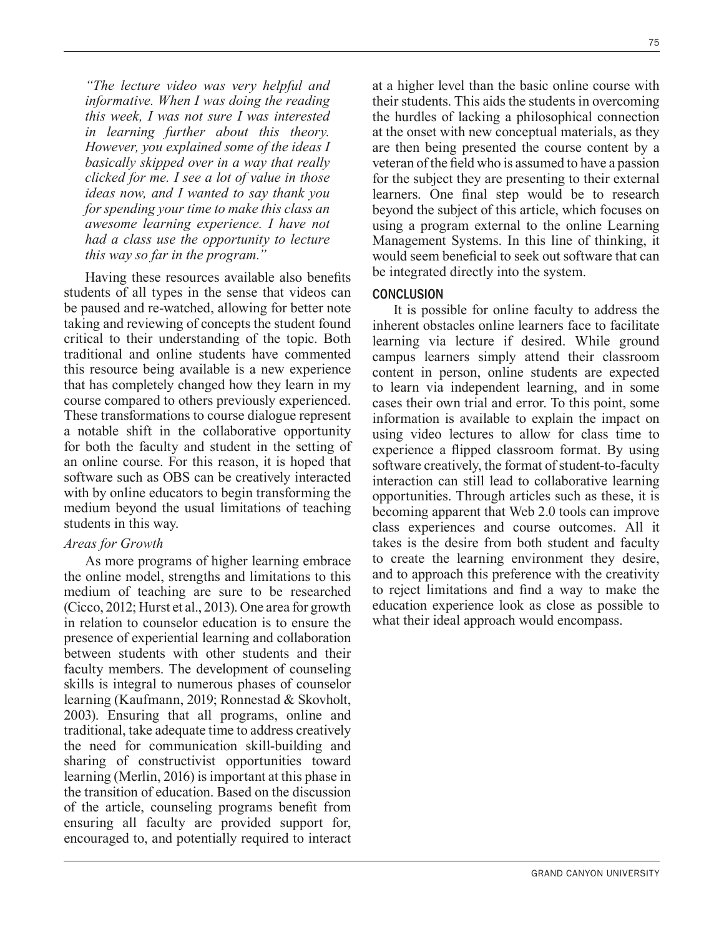*"The lecture video was very helpful and informative. When I was doing the reading this week, I was not sure I was interested in learning further about this theory. However, you explained some of the ideas I basically skipped over in a way that really clicked for me. I see a lot of value in those ideas now, and I wanted to say thank you for spending your time to make this class an awesome learning experience. I have not had a class use the opportunity to lecture this way so far in the program."*

Having these resources available also benefits students of all types in the sense that videos can be paused and re-watched, allowing for better note taking and reviewing of concepts the student found critical to their understanding of the topic. Both traditional and online students have commented this resource being available is a new experience that has completely changed how they learn in my course compared to others previously experienced. These transformations to course dialogue represent a notable shift in the collaborative opportunity for both the faculty and student in the setting of an online course. For this reason, it is hoped that software such as OBS can be creatively interacted with by online educators to begin transforming the medium beyond the usual limitations of teaching students in this way.

#### *Areas for Growth*

As more programs of higher learning embrace the online model, strengths and limitations to this medium of teaching are sure to be researched (Cicco, 2012; Hurst et al., 2013). One area for growth in relation to counselor education is to ensure the presence of experiential learning and collaboration between students with other students and their faculty members. The development of counseling skills is integral to numerous phases of counselor learning (Kaufmann, 2019; Ronnestad & Skovholt, 2003). Ensuring that all programs, online and traditional, take adequate time to address creatively the need for communication skill-building and sharing of constructivist opportunities toward learning (Merlin, 2016) is important at this phase in the transition of education. Based on the discussion of the article, counseling programs benefit from ensuring all faculty are provided support for, encouraged to, and potentially required to interact

at a higher level than the basic online course with their students. This aids the students in overcoming the hurdles of lacking a philosophical connection at the onset with new conceptual materials, as they are then being presented the course content by a veteran of the field who is assumed to have a passion for the subject they are presenting to their external learners. One final step would be to research beyond the subject of this article, which focuses on using a program external to the online Learning Management Systems. In this line of thinking, it would seem beneficial to seek out software that can be integrated directly into the system.

#### **CONCLUSION**

It is possible for online faculty to address the inherent obstacles online learners face to facilitate learning via lecture if desired. While ground campus learners simply attend their classroom content in person, online students are expected to learn via independent learning, and in some cases their own trial and error. To this point, some information is available to explain the impact on using video lectures to allow for class time to experience a flipped classroom format. By using software creatively, the format of student-to-faculty interaction can still lead to collaborative learning opportunities. Through articles such as these, it is becoming apparent that Web 2.0 tools can improve class experiences and course outcomes. All it takes is the desire from both student and faculty to create the learning environment they desire, and to approach this preference with the creativity to reject limitations and find a way to make the education experience look as close as possible to what their ideal approach would encompass.